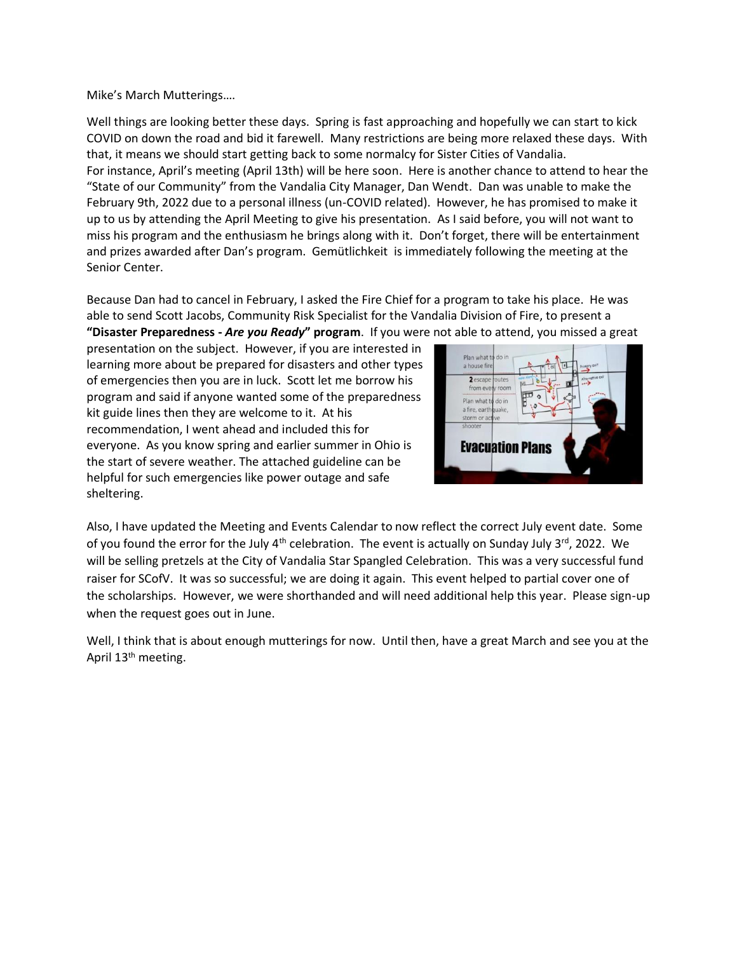Mike's March Mutterings….

Well things are looking better these days. Spring is fast approaching and hopefully we can start to kick COVID on down the road and bid it farewell. Many restrictions are being more relaxed these days. With that, it means we should start getting back to some normalcy for Sister Cities of Vandalia. For instance, April's meeting (April 13th) will be here soon. Here is another chance to attend to hear the "State of our Community" from the Vandalia City Manager, Dan Wendt. Dan was unable to make the February 9th, 2022 due to a personal illness (un-COVID related). However, he has promised to make it up to us by attending the April Meeting to give his presentation. As I said before, you will not want to miss his program and the enthusiasm he brings along with it. Don't forget, there will be entertainment and prizes awarded after Dan's program. [Gemütlichkeit](https://www.google.com/search?rlz=1C1NHXL_enUS697US697&biw=1917&bih=873&q=Gem%C3%BCtlichkeit&sa=X&ved=2ahUKEwjj1YfC9Nr1AhVJknIEHV0nCaIQ7xYoAHoECAEQMg) is immediately following the meeting at the Senior Center.

Because Dan had to cancel in February, I asked the Fire Chief for a program to take his place. He was able to send Scott Jacobs, Community Risk Specialist for the Vandalia Division of Fire, to present a **"Disaster Preparedness -** *Are you Ready***" program**. If you were not able to attend, you missed a great

presentation on the subject. However, if you are interested in learning more about be prepared for disasters and other types of emergencies then you are in luck. Scott let me borrow his program and said if anyone wanted some of the preparedness kit guide lines then they are welcome to it. At his recommendation, I went ahead and included this for everyone. As you know spring and earlier summer in Ohio is the start of severe weather. The attached guideline can be helpful for such emergencies like power outage and safe sheltering.



Also, I have updated the Meeting and Events Calendar to now reflect the correct July event date. Some of you found the error for the July  $4<sup>th</sup>$  celebration. The event is actually on Sunday July 3<sup>rd</sup>, 2022. We will be selling pretzels at the City of Vandalia Star Spangled Celebration. This was a very successful fund raiser for SCofV. It was so successful; we are doing it again. This event helped to partial cover one of the scholarships. However, we were shorthanded and will need additional help this year. Please sign-up when the request goes out in June.

Well, I think that is about enough mutterings for now. Until then, have a great March and see you at the April 13th meeting.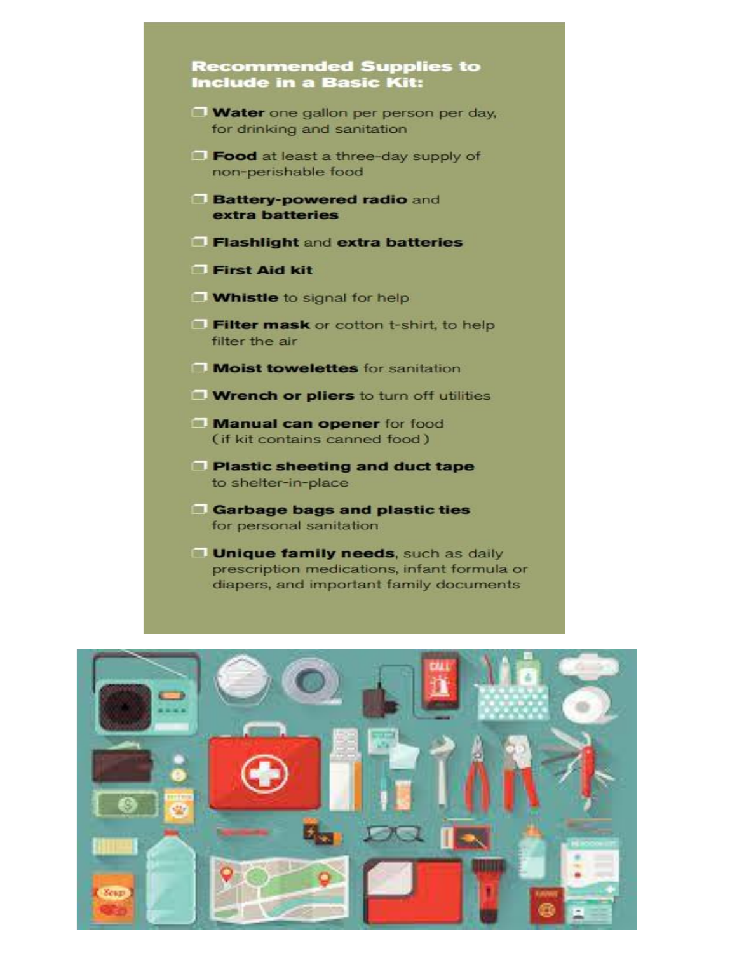## **Recommended Supplies to Include in a Basic Kit:**

- Water one gallon per person per day, for drinking and sanitation
- Food at least a three-day supply of non-perishable food
- **Battery-powered radio and** extra batteries
- Flashlight and extra batteries
- First Aid kit
- **Whistle** to signal for help
- Filter mask or cotton t-shirt, to help filter the air
- Moist towelettes for sanitation
- **Wrench or pliers** to turn off utilities
- Manual can opener for food (if kit contains canned food)
- **Plastic sheeting and duct tape** to shelter-in-place
- Garbage bags and plastic ties for personal sanitation
- **Unique family needs, such as daily** prescription medications, infant formula or diapers, and important family documents

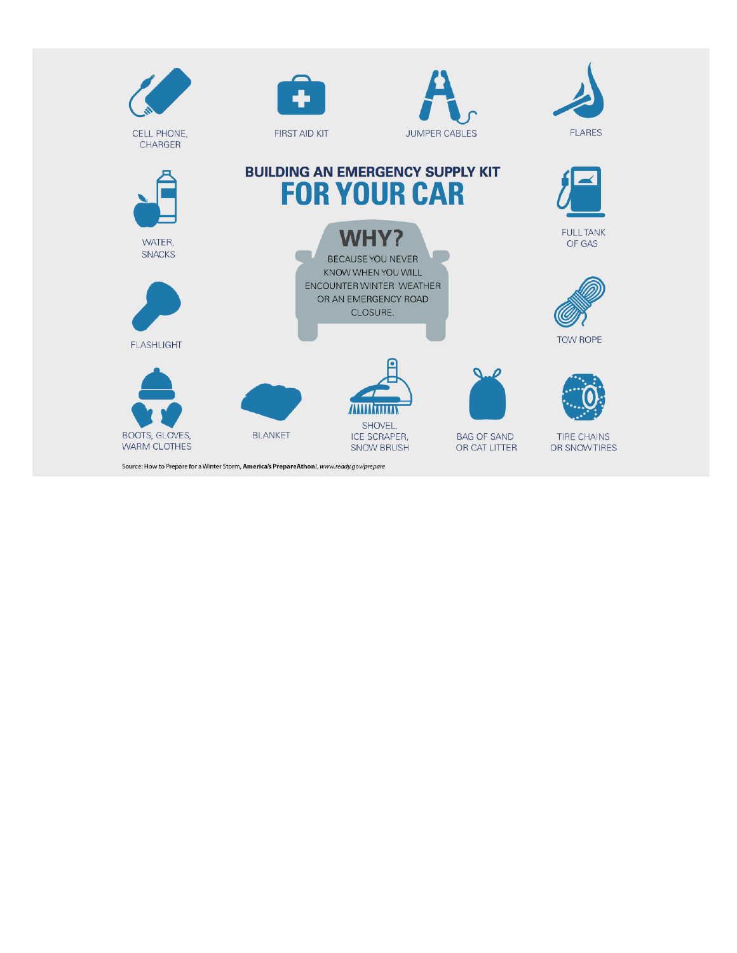

Source: How to Prepare for a Winter Storm, America's PrepareAthon!, www.ready.gov/prepare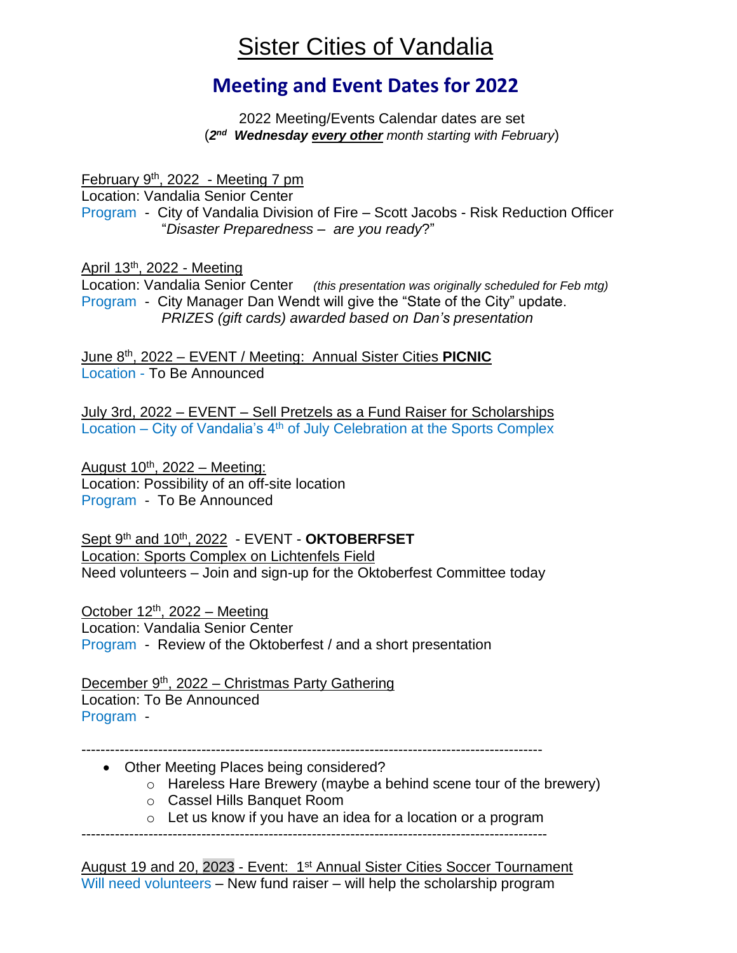## Sister Cities of Vandalia

## **Meeting and Event Dates for 2022**

2022 Meeting/Events Calendar dates are set (*2 nd Wednesday every other month starting with February*)

February 9th, 2022 - Meeting 7 pm

Location: Vandalia Senior Center

Program - City of Vandalia Division of Fire – Scott Jacobs - Risk Reduction Officer "*Disaster Preparedness – are you ready*?"

April 13th, 2022 - Meeting

Location: Vandalia Senior Center *(this presentation was originally scheduled for Feb mtg)* Program - City Manager Dan Wendt will give the "State of the City" update. *PRIZES (gift cards) awarded based on Dan's presentation*

June 8th , 2022 – EVENT / Meeting: Annual Sister Cities **PICNIC** Location - To Be Announced

July 3rd, 2022 – EVENT – Sell Pretzels as a Fund Raiser for Scholarships Location – City of Vandalia's 4<sup>th</sup> of July Celebration at the Sports Complex

August 10<sup>th</sup>, 2022 - Meeting: Location: Possibility of an off-site location Program - To Be Announced

Sept 9<sup>th</sup> and 10<sup>th</sup>, 2022 - EVENT - OKTOBERFSET Location: Sports Complex on Lichtenfels Field Need volunteers – Join and sign-up for the Oktoberfest Committee today

October  $12<sup>th</sup>$ , 2022 – Meeting Location: Vandalia Senior Center Program - Review of the Oktoberfest / and a short presentation

December 9<sup>th</sup>, 2022 – Christmas Party Gathering Location: To Be Announced Program -

------------------------------------------------------------------------------------------------

• Other Meeting Places being considered?

- o Hareless Hare Brewery (maybe a behind scene tour of the brewery)
- o Cassel Hills Banquet Room
- o Let us know if you have an idea for a location or a program

-------------------------------------------------------------------------------------------------

August 19 and 20, 2023 - Event: 1<sup>st</sup> Annual Sister Cities Soccer Tournament Will need volunteers – New fund raiser – will help the scholarship program